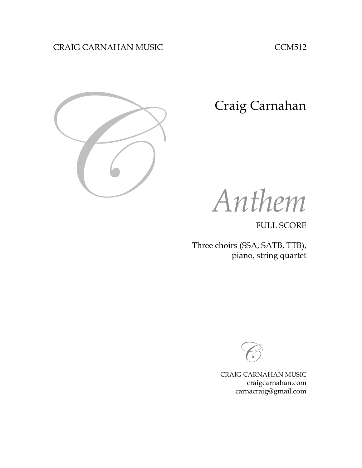

FULL SCORE

Three choirs (SSA, SATB, TTB), piano, string quartet



CRAIG CARNAHAN MUSIC craigcarnahan.com carnacraig@gmail.com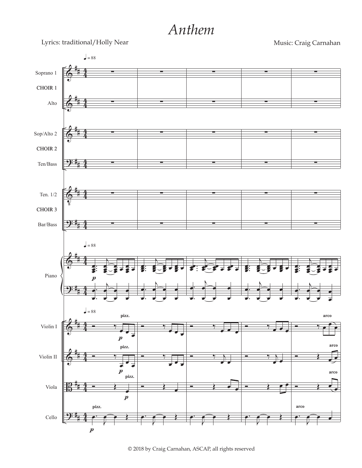Lyrics: traditional/Holly Near

Music: Craig Carnahan

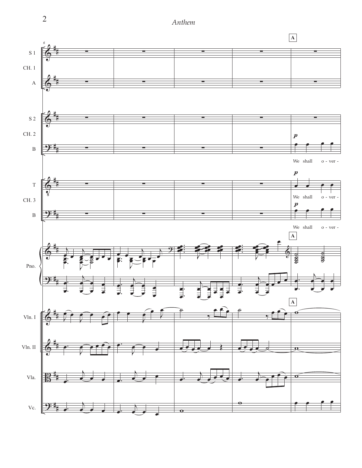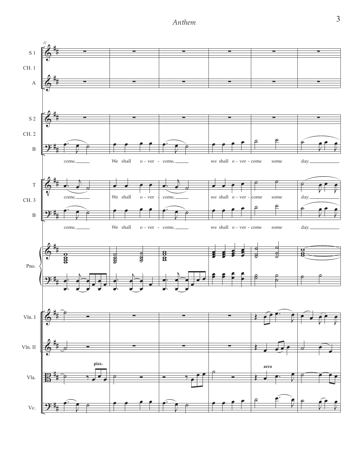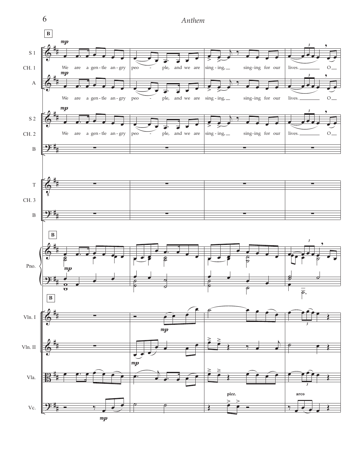

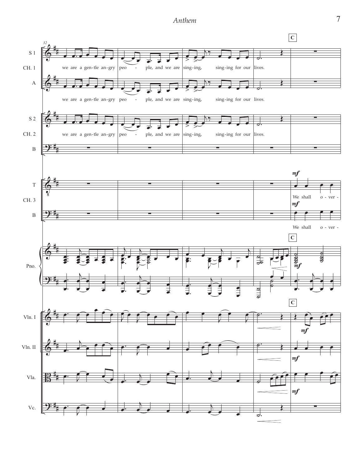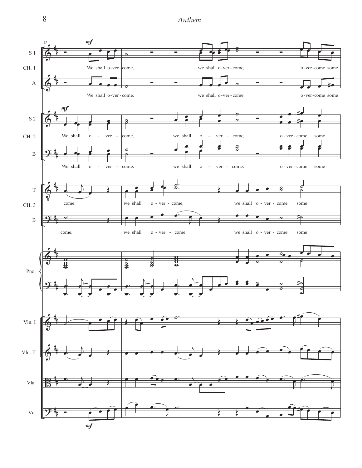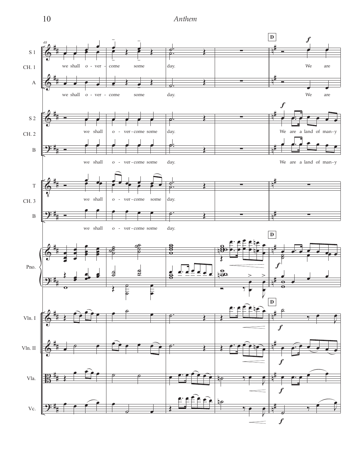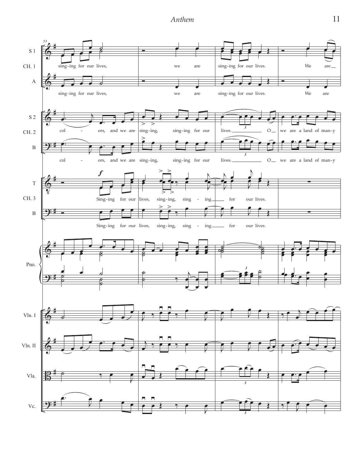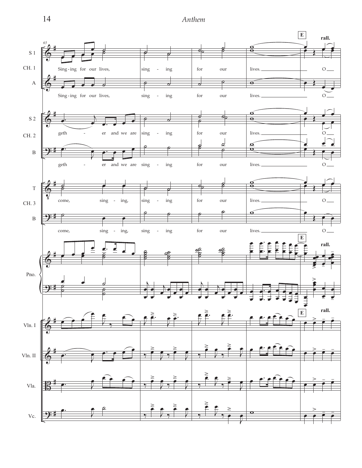

14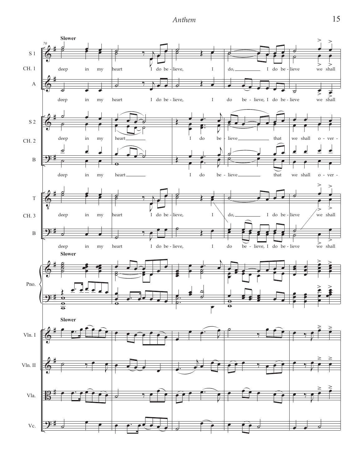